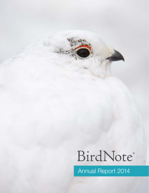# BirdNote®

Annual Report 2014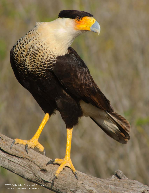COVER: White-tailed Ptarmigan © Gerrit Vyn THIS PAGE: Crested Caracara © Gerrit Vyn

Œ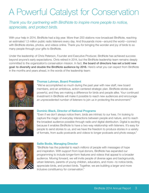# A Powerful Catalyst for Conservation

*Thank you for partnering with BirdNote to inspire more people to notice, appreciate, and protect birds.* 

With your help in 2014, BirdNote had a big year. More than 200 stations now broadcast BirdNote, reaching an estimated 1.3 million public radio listeners every day. And thousands more—around the world—connect with BirdNote stories, photos, and videos online. Thank you for bringing the wonder and joy of birds to so many people through your gifts to BirdNote.

Under the leadership of Chris Peterson, Founder and Executive Producer, BirdNote has achieved success beyond anyone's early expectations. Chris retired in 2014, but the BirdNote leadership team remains deeply committed to the organization's conservation mission. In fact, the board of directors has set a bold new goal: to diversify and double the BirdNote audience by 2018. Here's what you can expect from BirdNote in the months and years ahead, in the words of the leadership team:



#### Thomas Luhman, Board President

"We've accomplished so much during the past year with new staff, new board members, and an ambitious, action-centered strategic plan. BirdNote stories are powerful, and they are making a difference for birds and people alike. Your continued investment in BirdNote will make it possible to reach new audiences and encourage *an unprecedented number of listeners* to join us in protecting the environment."



#### Dominic Black, Director of National Programs

"Even if we don't always notice them, birds are intrinsic to our lives. I'm looking to capture the magic of everyday interactions between people and nature, and to reach the broadest audience possible through radio *and* digital distribution. Digital is exciting because it enables BirdNote to have a two-way relationship with listeners. It's easy for people to send stories to us, and we have the freedom to produce stories in a variety of formats, from audio postcards and videos to longer podcasts and photo essays."



#### Sallie Bodie, Managing Director

"BirdNote has the potential to reach *millions* of people with messages of hope and inspiration. With support from loyal donors, BirdNote has expanded our programming to include longer-form features and videos that appeal to a broader audience. Moving forward, we will invite people of diverse ages and backgrounds, urban listeners, parents of young children, educators, and more—to notice birds, appreciate birds, and protect birds. Together, we are building a larger and more inclusive constituency for conservation."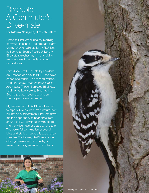# BirdNote: A Commuter's Drive-mate

### By Tatsuro Nakajima, BirdNote Intern

I listen to BirdNote during my morning commute to school. The program starts on my favorite radio station, KPLU, just as I arrive at Seattle Pacific University. BirdNote refreshes my mind by giving me a reprieve from mentally taxing news stories.

I first discovered BirdNote by accident. As I listened one day to KPLU, the news ended and music like birdsong started. I thought, *Wow, what cheerful, stressfree music!* Though I enjoyed BirdNote, I did not actively seek to listen again. But the program soon became an integral part of my commute.

My favorite part of BirdNote is listening to clips of bird sounds. I'm a nature lover but not an outdoorsman. BirdNote gives me the opportunity to hear birds from around the world without having to trek into the wilderness or board an airplane. The powerful combination of sound bites and stories makes this experience possible. So, for me, BirdNote is about offering an *experience* of birds, not merely informing an audience of facts.



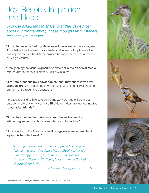# Joy, Respite, Inspiration, and Hope

*BirdNote asked fans to share what they value most about our programming. These thoughts from listeners reflect several themes.*

"BirdNote has enriched my life in ways I never would have imagined. It has helped me to develop as a birder and increased my knowledge and appreciation of the delicate balance between the natural world and all living creatures."

"I really enjoy the visual exposure to different birds on social media with no silly comments or drama. Just raw beauty."

"BirdNote broadens my knowledge so that I may share it with my grandchildren. This is the best way to continue the conservation of our environment through the generations."

"I started listening to BirdNote during my work commute. I don't get outside in nature often enough, so BirdNote makes me feel connected to our avian friends."

"BirdNote is helping to make birds and the environment an interesting subject for those of us who are not scientists."

"I love listening to BirdNote because it brings me a few moments of joy in this turbulent world."

*"I want you to know how much I appreciate your podcast. I listen to it every day. Since I'm totally blind, I won't have the opportunity to see these wonderful birds. But when I listen to BirdNote, I feel as though I'm right there with the birds.*"

*— Carmen Santiago, Pittsburgh, PA*



Photos from top: Gadwall, Bluethroat, and Great Gray Owl © Gerrit Vyn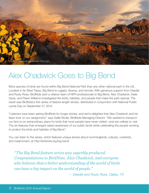

# Alex Chadwick Goes to Big Bend

More species of birds are found within Big Bend National Park than any other national park in the US. Located in far West Texas, Big Bend is rugged, diverse, and remote. With generous support from Deedie and Rusty Rose, BirdNote sent a veteran team of NPR professionals to Big Bend. Alex Chadwick, Katie Davis, and Flawn Williams investigated the birds, habitats, and people that make the park special. The result was BirdNote's first series of feature-length stories, distributed in conjunction with National Public Lands Day on September 27, 2014.

"Listeners have been asking BirdNote for longer stories, and we're delighted that Alex Chadwick and his team took on our assignment," says Sallie Bodie, BirdNote Managing Director. "We wanted to transport our fans to an extraordinary place for birds that most people have never visited—and are unlikely to visit. The six features that emerged raised awareness of our public lands while celebrating the people working to protect the birds and habitats of Big Bend."

You can listen to the series, which features unique stories about hummingbirds, vultures, cowbirds, and roadrunners, at http://birdnote.org/big-bend.

*"The Big Bend feature series was superbly produced. Congratulations to BirdNote, Alex Chadwick, and everyone who believes that a better understanding of the world of birds can have a big impact on the world of people."*

*— Deedie and Rusty Rose, Dallas, TX*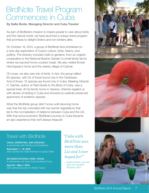# BirdNote Travel Program Commences in Cuba

By Sallie Bodie, Managing Director and Cuba Traveler

As part of BirdNote's mission to inspire people to care about birds and the natural world, we have launched a unique travel program that promises to delight birders and non-birders alike.

On October 18, 2014, a group of BirdNote fans embarked on a nine-day exploration of Cuba's culture, birds, history, and politics. The itinerary included visits to gardens, from an organic cooperative to the National Botanic Garden to small family farms where we savored home-cooked meals. We also visited Ernest Hemingway's home and the nearby village of Cojimar.

Of couse, we also saw *lots* of birds. In fact, the group tallied 83 species, with 22 of those found only in the Caribbean. And of those, 12 species are found only in Cuba. Meeting Orlando H. Garrido, author of *Field Guide to the Birds of Cuba,* was a special treat. At his family home in Havana, Orlando regaled us with stories of birding in Cuba and showed us carefully preserved specimens of endemic species.

What the BirdNote group didn't know until returning home was that the trip coincided with top-secret negotiations that led to the normalization of relations between Cuba and the US. With that announcement, BirdNote's journey to Cuba became an epic experience that we'll always treasure!

### Travel with BirdNote

CHILE, ARGENTINA, AND URUGUAY In partnership with Earthbound Expeditions

November 1 – 12, 2015 (with optional two-night extension to Iguazu Falls)

BIG BEND NATIONAL PARK, TEXAS In partnership with Victor Emanuel Nature Tours

April 23 – May 1, 2016 (with optional excursion to Marfa, Texas) *"Cuba with BirdNote was more than Liz and I ever hoped for!"*

*— Adeline Gildow, pictured right with daughter Elizabeth Olson*

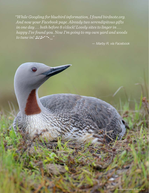*"While Googling for bluebird information, I found birdnote.org. And now your Facebook page. Already two serendipitous gifts in one day . . . both before 8 o'clock! Lovely sites to linger in . . . happy I've found you. Now I'm going to my own yard and woods to tune in!* ♫♪♫•\*¨\*•.¸¸*"*

8 BirdNote 2014 Annual Report

*— Marby R. via Facebook*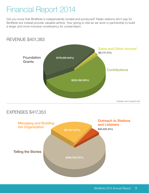# Financial Report 2014

Did you know that BirdNote is independently funded and produced? Radio stations don't pay for BirdNote but instead provide valuable airtime. Your giving is vital as we work in partnership to build a larger and more inclusive constituency for conservation.



### EXPENSES \$417,353

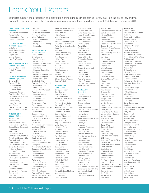# Thank You, Donors!

Your gifts support the production and distribution of inspiring BirdNote stories—every day—on the air, online, and via podcast. This list represents the *cumulative* giving of new and long-time donors, from 2004 through December 2014.

#### CALIFORNIA CONDORS  $$400,000 +$

The Bobolink Foundation The Lufkin Family Foundation / Peter Jay Sharp Foundation

#### GOLDEN EAGLES \$100,000 – \$399,999

Icicle Fund Ardell Kuchenbecker Nancy Nordhoff and Lynn Hays Lenore Hanauer Lucy R. Waletzky

#### GREAT BLUE HERONS

\$50,000 – \$99,999 Ellen Blackstone and Chris Altwegg Lucy Hadac

#### TRUMPETER SWANS \$20,000 – \$49,999

Gretchen Hull Estate of Ardell Kuchenbecker Liam Lavery and Yazmin Mehdi Rebecca Liebman The Maple Bay Fund Daughters of Thero North: Chris Peterson, Patty North, and Kathy North Mary Pigott Deedie and Rusty Rose Joan and Mike Schmidt

#### **KINGFISHERS** \$5,000 – \$19,999

Anonymous (2) Audubon Helle Bielefeldt-Ohmann and David Fitzpatrick Coastal Bend Community Foundation Paul L. and Betty Rae Davis Dan Drais and Jane Mills Joseph and Barbara Ellis The Hugh and Jane Ferguson Foundation Tom Grant and Julie Kesler Steve Hallstrom and Cecelia Boulais Horizons Foundation JiJi Foundation Howard and Grace Lincoln Lucky Seven Foundation Thomas and Annalee Luhman The Norcliffe Foundation Gerald and Linda Nordberg Chris and Todd Peterson Bonnie and Richard Robbins Satterberg Foundation

David and Catherine Skinner Town Creek Foundation Tom and Kristi Weir

Miriam Williams Hans & Elizabeth Wolf Foundation The Peg and Rick Young Foundation

#### **MEADOWLARKS** \$1,000 – \$4,999

Lauri J. Adams Christina and Ben Anderson The Harry C. & Florence E. Bauknecht Charitable Fund Richard and Eleanore Baxendale Sallie Bodie The Boeing Company Gift Matching Program Erin and Mark Borden Elisabeth Bottler Paul and Debbi Brainerd Emory Bundy and Noel Angell Tom and Ann Campbell Patricia and Robert Charlson Chris Cluett Tom Darden and Ellen Wallach Jon and Anne Fox Frause Group Scott and Susan Freeman Harrington-Schiff Foundation Suzanne Hittman Laurie and John Jelinek Charlie and Carrie Kahle Phyllis Kind Lea Kouba Jennifer and Marc Kropack MacDonald-Miller Andrea McFadden Colene McKee and Bill Denzel Annie McTavish Sarah Merner and Craig McKibben Microsoft Matching Gifts Program John and Linda Murtfeldt Suanne and Wes Nagata Patty North and Robert Ahola Kit O'Neill and Tom Leschine Walter and Patricia Oelwein Gordon Orians and Marianne Kogon Judy Pigott Pilchuck Audubon Pam and Dave Pinkham John and Suzanne Price Bill and Wendy Rabel

Steve and Joan Raymond Scott and Kimberly Rice Judy Roan and Ron Reeder Nancy Rumbel and Ron Rabin Estate of John Schwager The Seattle Foundation Richard and Linda Sedgley Skagit Audubon Michael and Mary Jo Stansbury Helene Steinhardt John Teutsch and Mary Foster Jerry Tone and Martha Wyckoff Idie Ulsh Irene Wilcox Betty Woods and Don Lockwood Jessie and David Woolley-Wilson Bill and Jennifer Woyski Susan Wyckoff

#### **SANDPIPERS** \$500 – \$999

Shirley Anderson Carol Barnard Susan Barnes Charlotte Behnke Bill and Beatrice Booth Leah Brown Terri and Bruce Butler Sally and Tom Cahill Amanda and Bob Clark Candace Coe and Richard Peterson George Collins Amanda Gibson and Darius Miller Adeline Gildow Amy and Chris Gulick Leslie Hagin and Michael Subit James and Maxine Hansen Marcia Harper Alan Hartmann Lorraine and Dennis Hartmann Tracy Kahlo and Susy Stremel Susan Lane Linda Larson and Gerald Johnson Heather Leach and Mark Hofer Dorothy Ling and Mark DeWeirdt Beth Lorber John Lundin Mary Lungaho and Barry Goff Jay and Deirdre McCrary Nancy McKee Libby Mills and Rusty Kuntze

Moss Adams LLP Lee and John Neff Leslie Heizer Newquist and Chuck Newquist Terry Nightingale Kathy North and Steve Monohan Pamela Okano Wendi Okun Bob Porter and Brooke Trout Barbara and Gerald Retzlaff Roberta Roberts Christopher Rogers Sievert and Brigitte Rohwer Kathleen Root Dyanne Sheldon and Jean Singer Barry Stevens Deborah and Keith Streeter Valerie Tarico and Brian Arbogast Tom and Pam Waldron Ann P. Wyckoff

#### WARRI FRS \$100 – \$499

Chuck and Marylou Adams Betty Agent Andrea Allen D'Arice Anderson Anonymous Diana Armstrong Laurie Bauman Arnold and Steve Arnold Hanna Atkins Janis Augustin Glenn and Mary Lou Austin Nancy Axell Mary Ayres Linda and Gordon Bainbridge Marygrace and Peter Barber Bob and Anne Barry Jean Bender Jarvis and Scot Jarvis Barbara Bennett Nancy Bernard Steve Albrecht and Katherine Berndt Irene Billa and Gertrude Brubaker Richard Birnbaum Kim Black and Peter Nyberg Donald Blair and Nancy Dock Helene Blume Jennifer and Steven Blusk Danielle and Norm Bodine Mary Jane Boland Hilary Bolles Dale and Joan Boose

Allan Borden and Norma Kirmmse-Borden Betty Borman and Steve Marts Sandra Bowman Theresa and Robert Britschgi Robert and Beverly Brooks Sharon Brown Carol and Chuck Brunner Joanna Buehler John and Mary June Burks Charles Burt Mary Bush Beverly and Jeffrey Campbell Carol Carlson-Ray Linda Carroll Minnie Caruso Ann Casey and Carol Plunkett Tim Celeski and Leslie Newman Change Making Change Fund Ellen Chase Pat Chiarelli Bob and Sheila Chidsey Amy Choboy Chubb & Son Steve Clagett and Jennifer Parker Joseph Clark Shamra Clark Martha Clarkson Laurel Cohen Kenneth and Susan Cohen Cathryn Collis Richard and Pat Cook Marc and Beth Cordova Martha Craig Mike Gilbert and Cynthia Cruver Carol Fern Culhane Diane D'Arcy Suzannah Dalzell Ronald deGray Barb Deihl Kristin Delancey Holly and John Delaney Elli DeLong Denis and Roxie DeSilvis Emily Dexter Karrin and Walter Dhondt Diana Diettrich Elizabeth and William Dixon Sandra Drissen Kathryn Duchene Sharon Dunn Ted Paprocki and Catherine Dunn Barbara and Henry Eckfeld Dianne and Rick Edmonds Diane Emord Dianne Engleke Jan Errick Margo Evans Kern Ewing

Anna Fahey Nicholas Fahey Birte and James Falconer Judith Finn Bruce and Judy Finney Andrew Fisher and Elizabeth Burke Jennifer and Richard A. Fisher Jan Fisher Lorraine Fontanes Bob and Sue Frause John and Carol Friends Jerry Hillis and Diana Gale Gail Gammel Bill and Melinda Gates Foundation Matching Gifts Program Keith Geller Christopher and Evelyn Getman Vickie and Scott Gibbs Kathleen Giblin and James Gorham Janice and John Gibson Steve and Janet Goff Paul and Sherryl Goldfinger Emily Moore and Gerald Graham Nikolai Gregoric Donald and Norma Guenthoer Ellen Haas Gayle Hackamack Stephanie Hagen Janet Hall and Nicole Luce Daniela and Michael Hall Kathy Hall Suzanne Hall Nancy Hallman Michael Hamilton Robert Hammond and Margie Johns Dan and Jan Harville Mary Heffernon Jim and Valerie Hemmen Cheri Hendricks Erin Hennessey Robert Henry Helen Hepp Emma and Merritt Hess Tacy Hindle Michael Hoebel Esther Holt Janet Howe Alan and Amy Huggins Cheryl Ann Hughes Marcia Ian Elizabeth Ilem Loren and Patty Imes Alexa Ingram-Cauchi Jim Irving Roberta Isleib Luanna Iverson Michael Iwata Julia Jackson Deborah Jacobsen Phyllis Janik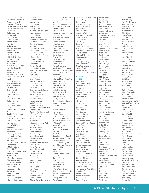Katharine Janney and Raman Chandrasekar Debra Jarvis and Wes Van Voorhis George and Lynne Jensen Kristine Johnson and Dave Ehlert Barbara Johnson George and Betty Johnson Karen Johnson Marion Jouas Jerry Joyce Barbara Karl Matthew Kaufman Dana Kelly Jacqueline Kendziorek John Kessler and Lisabeth Sterling Wesley Kimberley Teresa Kluver Paul Koker William and Gloria Koll Marcella Kurowski Doug Lamerson Donna LaRocca Jeff and Cheryl Laufle Eileen and Pierre Lauzon Jennifer Leach Marion Lebourveau Jean and Roger Leed William Lehmann Janet Lewinsohn Robin Llewellyn Margie Low Elise Lufkin and Amos Galpin Joan Lupacchino Catherine Lynch Walter and Ruth MacGinitie Emily and Leonard Mandelbaum Donna Manders Charles Bergman and Susan Mann Edgar Marcuse MD and Linda Marcuse Jane Marshall Marcia Reid Marsted Melodie Martin Beth Mastin-Keifaber Robert and Holiday Matchett Mary McCann-Bone and Daniel Bone Gary and Cassandra McCullough Jennifer and Mark McDonald Kuleen McGrath Karen and John McKeon Bonnie Mearns Patricia and Christian Melgard Ellie Horsnell and Joanna Mendelsohn Betsylew Miale-Gix Gordon and Jacquelyn Miller Tamara Mitchel Carol Mockridge Nancy and Doug Morningstar Julie and Tom Moylan

Paul Muldoon and Karen Richter James Mullen Emma Jean Musto John Narver Sydney Nash Bob and Maryann Ness Jane Neubauer Mary Nicholas James Nichols Barbara and Rod Nuss Lori and Bob O'Brien Colleen O'Connor Sharron and Daniel O'Donnell Ellen O'Neill-Stephens and Jack Stephens Janice Obuchowski and Bert Halprin Paxson Offield Olympic Peninsula Audubon Sharon Oswalt Mark and Judy Oswood John Ottenheimer and Nancy Nolan Joan Packer Lynnette Page Susan Palmason James Parrott and Carolyne L. Wright Sandra Patzman Terri Pauls Helen and Martin Payne May Pendergrass Sierra Peterson and John Beil Suzanne Peterson James Pomeroy Chris Pope and Mary Lou Harris Gerald and Barbara Porter Elizabeth Post Geoffrey Trowbridge and Teresa Pottmeyer Kenneth Pouch Paul Prappas David Pratt and Sarah Rodriguez Pratt Pamela Pritzl Barbara Radford Marjorie Wenrich and Eric Ramhorst Sally Rawlings Shirlee Read and Clyde Salisbury Bruce Reid Barbara Renfrow-Baker Terry Retchless Debra Revere Denise Rhiner and Joseph Losi Carla Rickerson Pamela Ritter Margaret Roach Arthur Robidoux Tod Rodman Alan Roedell Simon Roffey Mary Rogers Valerie Vandenberg Roper and John Roper Barbara Rosenkotter and Arthur Tyson II Bill and Diane Rosolowsky

Tony and Gale Roth Anne Roughton Anna and Thomas Rudd Diane and Kent Sargent Jeanne Sargent Victor Scheffer Steve and Annie Schwager Lynn Sealey Joan and Bud Searle Jill Seidel Laura Selby and Paul Sommer Elvera Shappirio Greg Shaw and Anna Mastroianni Marjorie Sherry Elaine Shields Victoria Shields Carol Lee Smith Barbara Smith James Smith Wendy Sorensen Carolle and David Speer Marcia and George Spees Clark and Cheryl Spencer Robert and Davney Stahley John and Carol Stansfield Judith Starbuck Michael Stein and Allison Barnes Marcia Stone Linda Kerr Stores Derek Storm and Cindy Gossett Bob Sundstrom and Sally Alhadeff Kim and George Suyama Constance Swank Erika Sweger Alan Swinamer Michael Thomas Martha and Peter Thompson Karen Thompson Mary Anne Thorbeck Robert Thurmond and Monica Uhl Barbara Timken Cheryl Trivison Mary Ann Trombold Julia Tucker Carole Tyson Robert and Inge Uphoff Randolph Urmston and Eliza Davidson Karlene and Gary Utter Anne-Marie VanWart and Lee Winkler Tony Varela Dan Varland Vashon-Maury Island Audubon Colette Vogele Gerrit Vyn Kathleen Wacker Nancy Waddell Mary and Tony Ward-Smith Henry and Valerie Warden Tricia and Steven Watson Mark O'Deady and Marguerite Watt Diane Weber

Elizabeth and Geoff Rossi

Larry and Anne Weingarth Joanne Werger Kenneth and Nancy Wiersema Whidbey Audubon Lynn Wilkins Stefan Williams Jacqueline Wilson Anza Muenchow and Marc Wilson Asher Wilson John Wingfield Barbara and Victor Winquist Wayne and Flora Wong Gretchen and Jack Wood Sandra Woods John and Alcena Woods Lois Woolwine Philip and Carolynne Wright Julie Yamamoto Betsy Yee-Diamond Michael Zeigler II Jennifer Zeisig Penelope and Mark Ziarnik **CHICKADEES** \$1 – \$99 Jamie Acker Wendy Aeschliman Alexandra Allen Deborah Allen Carol Alquist Jeff and Joy Anderson Juanita Anderson Linda Andrews Roxanne Angel Julie Angell Paul Arneson Richard Ashford Lynn Asmann Chris Bachler Page Backus Catherine Bailey Cindy Bailey Bridget Baiss Christopher Banco Nancy and Casey Bardue Marya Barey Lucille Barnard Lee Barnes Elsa Batres-Boni Allen Bauer Rayburn Beale Katherine Beard Todd Beauchamp Kimberly Becklund Andrea Elizabeth Bell Karen Bender Renee Benedict Joan Benham The Best @ Dianne B James Bettinger Rosalind Billharz Robert Bishop Shelley and Will Black Kenneth Blackshaw Carol Blanding Mary Lou and Peter Block Georgiana Blomberg Jennifer Blue Brenda Boardman Penelope Bolton Howard Bowen

Harden Boyce Claire Bracaglia Heidi Brandli Richard Brandon Gary Breidenstein Kristin Briejer Jacqueline Brooks Andrew and Maureen Brouillard Lucy Brown Jerry and Kathy Brownstein Susan Brutico Vicki Bryant Roberta and Richard Bull Judith Bunnell Peter Bunten Clay Burrows Paul Busse Carie Bussey Mary Butler Mary Pat Byrne Rebecca Cain Berclee Cameron Carole Cannon Luis Cantu Kay Carley G.M. Carlos Judy Carlson Lyman Carpenter Kimberley Carter Nina Carter and Tom Rainey Dr. Rodman Carter Martin Casey Nicholas Cassara Dr. Laurie Cassidy Jette Castro Debbie Chambers Terry Chandler Lee Chavez Susan Chiat and Ron McCabe Irene Christofferson Elaine Chuang Judy Clark Mary Clark Steve Clayton Lynnette Clemens Emilee Cline Tim Cline Amy Cole Geoffrey Cole Jennifer Cole Barbara Collins Dorothea Collins Mary Comstock John Cook Ginger Cooley Ryan Cope Leonard and Carla Corin Beverly and Richard Corwin Gayle Countryman-Mills Mary Cowan Jason Cudahy Lawrence Culleton Penelope Cummings Gary Curtis Conrad Cyr Richard and Catherine D'Onofrio Lynn Dahlen Helen Dallas Paul Daniel

Ann de Jong Peter de Jong Mary Ann De Lellis Robin Dearling Louise deLorme Robert Dente Raymond Desy Brian Dillon Linnea Donnen Patrice Donovan Robert Doster Nancy Downing Philip Doyle Judith Dubois and James Smith Nancy Dunn Doreen Dunton Ellen Edens Judy Edwards Glenn Eklund Dominique Emerson Lila Emmer Timothy England James Enslow Shelley Entwistle Mike Eustis Rebecca Evans Anthony Fay David Fayram Selene Fisher Anne Forestieri Regina Forni Kelly Fouhey Christie Fountain Caryn Friedlander Ulrich Fritzsche Andrew Funk Martha Garrett James and Audrey Gift Greg and Susan Gilles Brandon Gillin Colleen Girard John Gooderham Judith Gordon Deidre Goulding Mary Graham Karen Granger Kathryn Grant Suzanne Grant Deborah Gravel Dianne Gray J. Michael Green Peter Green Greenbank Garden Club Elaine Greene Lou Grogan James Gumaer Linda Guthrie Joel Haas Jenifer Hackett Carla and Ross Haddow Fletcher Hahn Carol Halberstadt Cynthia Hall Art James Hambly Ray and Dory Hamlyn Christie Hammond Robert Hardison Margarite Hargrave Colleen Harker Katie Lynn Harrison Thomas Harston Jennifer Hartmann Lynn Harvey Virginia Haver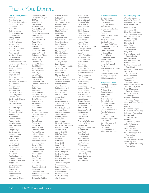### Thank You, Donors!

#### CHICKADEES, cont'd

Kris Hay Jeannine Hayden Grant and Jody Heiken HELP Virtual Office Support Jade Hems Beth Henderson Grant Hendrickson Linda Hensley Wendy Herbert Veronica Heron Ann Hetherington Marsha Hicks Gretchen Hils Janet Hintermeister Michael Hobbs Julie Hockett Martha Hollis and Everett Hollis Jr. Stacey Hooper Elke Hoppenbrouwers Twyla and Dan Hoskins Charles Hull Jerald Huntsinger Patti Hurlbut Jean Huskamp Sego Jackson Dorothy Jacobsen Mark Janicke Joy and Craig Johnson Jan Johnson John Johnson Lynn Johnston Jennifer Jolliffe Candace Jordan Linda Jorgensen Marcia Kamin Camille and Al Kariya Eileen Kell Gary Kelsberg and Sarah Safranek John Keplinger Joanne Kessler Douglas Kikendall Kathleen King Renee King Deborah Kirner Roselle Kovitz Anna Kruschwitz Mascha Kushner Mary Lane Margie Lange Clayton Lanum Andrew Lapworth Earle Lasseter Virginia Latimer Mary Lattier Tamara Layton Marcia Lazoff Daniel Leavell Carol Leenstra Melicca Leff Jon Leland Ken Kaufmann and Chuck Lennox Rosemary Levasseur Peggy Levin Morgan Lewington Deborah Liker Susan Lisk Krista Loercher Peter Lombardo Robert Long Mary Loving Driscoll

Charles Terry and Betsy MacGregor Bill Maier Anne Malone Patsy Manning Alicia Mariscal Peter S. Marshall Robert Martin George Mastrodonato Karen Matson Maria Mauldon Mary Ellen Maxell Robert May Ronald Maze Vallery and Linda McCann Judith McComas Maggi McConnell Catherine McGinnis Lara McIntosh Ed McKinley Clare McLean Louise McNerney Carol Merkley Marlene Merritt Mark Messinger Ellen Meyer Marni Micek Sunshine Millar Elisa Miller and Norm Brocard Ivan and Darlene Miller Susan Miller Kathy Minsch Susan Moe Judith Moeckel Jane-Kerin Moffat Moira Moldenhauer Chris Mooney Sharon Moore SeEtta Moss Judy Mukai Judy Mullally Becky Muraro Margaret Koehler and Michael Murphy Pat Musberger Julie Myers Donna Naruo Evelyn Nash Jan Nelson Patricia Nelson Nancy Newman Thomas Nichols Ladislaus Nonn Charles and Rita O'Clair Nancy O'Harrow Barbara Ochterski Leanna Olmsted Donavon Olson Martha Oman Jacqueline Oneil Catherine Orsi Bruce Osborn Steven Pace Joan Packer Wendy Panikker John Pas Lori Pastore Rosemarie Patrash Dennis and Netta Paulson Rosemary Pendergast Roberta Penn Christopher Petrich

Claudia Philippe Patricia Ponce Dan Pospisil Jacqueline Prescott Rebecca Pursley Melissa Qualls Catherine Quinn Marie Rediess Katy Reed Sherry Rind Raymond Ritter Minuit and Jean Robbins Gary Robertson Kathy Rogers Judy Rosen Laura Rosenberg Michael Routt Michelle Rubesch Joyce Russell Marilyn Ryder Barbara and Larry Rymon Louis Sacks James Saltalamacchia Teresa Sandner Elaine Sartoris Wynn Sasaki Michael Sato and Amy Nelson Kristina and Josh Schafer Shannon Schlinger Sarah Schmidt Terry Schmitt Patricia Schofield Judith Schwab Gene Schwartz Mrs. T.A. Scott Audrey Seale Holly Sears Adam Sedgley and Kristi Sartnurak Karen Selle Christi Shaffer and Megan Bean Margaret Shannon Susan Sharbaugh Wendelyn Shore David Short Jean Shreve Elizabeth Simpson Laurie and Dean Singer Kathleen Sisson Andrew Skalet Jeanie Skibiski Skin Doc Shop Paul Skrade Leslie Slater Pat Smart Carol Smith Scott Smith Thetus Smith Susan Smith-Franks Brian Snodgrass Kristina Snowden Sheila Sondik Christine Southwick Ann Spiers Jonathan Spingarn Regina Spoor Suzanne St. Peter Andrew Stackhouse David Stallings Suzanne Staples Gayle Stebbings Allyn Stevens

Sallie Stewart Christine Stoll Sandra Stowell Johanna Striar Dana Sullivan Nancy Sullivan Linda Swan Cindy Sweeny Elinor Sweet Carol Jean Swist Frank Tavares Lynn Taylor Kathryn Teson Diana Thayer Sara Throckmorton and Joseph Vance Melvyn Trenor Jean Trent Heinz Tschabitscher Tobiatha Tucker Leslie Tuovinen Mavis Turner Neil Turney Baxter Urist Susan Van Bell Kathleen Van Der Aue Martin Vanderspek Regina VanLoon Lisa Vaughan Elizabeth Vazquez Mark Visconty Rona Visser Bruno Vogele Jack and Karen Volinski Rebecca Waer Richard Wagner Will Waldron Joy Wannamaker Jean Warren Toshiko Watson Desiree Webster Winkler Weinberg Kathy Wells Deborah Wessell Judith Wheeler Rob Whitlam Ron Wikholm Faith Wilder Antoinette Wilkinson Loretta Williams Elida Wilson Roger and Debra Wolf Melissa Wolf Ursel Wolff Francie Wood and Bill Graves Kristina Wood Jillian Yomnick Lori Yoshinaga Richard and Connie Youel Aurelia and Gregory Young Pam Young Susan Zacharias Linda Zang Yvonne Zylan

#### In-Kind Supporters

Chris Altwegg Ellen Blackstone Shamra Clark Cognition Studio Jessica Dial Enterprise Rent-A-Car (Roosevelt) Forterra Museum Quality Framing (Magnolia) :Nota Bene Cellars Gordon Orians Chris and Todd Peterson Saint Mark's Episcopal **Cathedral** Seattle Audubon Nature Shop Seward Park Audubon Center Theron Shaw Jerry Tone and Martha Wyckoff Gerrit Vyn Mark Wittow, K&L Gates (Seattle) *A special thank you to our corps of more than 500 photographers!* Storytellers Circle *Honoring donors who contribute monthly.*  Anita de Give Timothy Durnell Janet Elkins Mari Freeman J. Drew Lanham Donna LaRocca Christina Mattoon Catherine and Will Nickum Ginger Oppenheimer Pamela Roberson Christine and David Satterlee Terie-Lee Taylor-Smith Rick Strow Carol Ray Upchurch

Tony Varela Dan Varland Cynthia Warwick Karen and Joe Zook

#### Pacific Flyway Circle

*Honoring donors in the Pacific flyway who contributed \$1,000 or more during 2014.*

Lauri J. Adams Anonymous (2) Helle Bielefeldt-Ohmann and David Fitzpatrick Ellen Blackstone and Chris Altwegg Elisabeth Bottler Harriet Bullitt Chris Cluett Tom Darden and Ellen Wallach Lucy Hadac Steve Hallstrom and Cecelia Boulais Lenore Hanauer Horizons Foundation Gretchen Hull Kristine Johnson and Dave Elhert Charlie and Carrie Kahle Jennifer and Marc Kropack Liam Lavery and Yazmin Mehdi Thomas and Annalee Luhman Lucky Seven Foundation The Maple Bay Fund Sarah Merner and Craig McKibben Nancy Nordhoff and Lynn Hays Gordon Orians and Marianne Kogon Chris and Todd Peterson Judy Pigott Mary Pigott Christopher Rogers Scott and Kimberly Rice Satterberg Foundation Richard and Linda Sedgley David and Catherine Skinner John Teutsch and Mary Foster Jerry Tone and Martha Wyckoff Hans & Elizabeth Wolf Foundation Jessie and David Woolley-Wilson Susan Wyckoff The Peg and Rick Young Foundation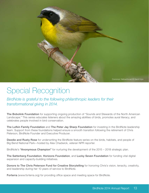

# Special Recognition

*BirdNote is grateful to the following philanthropic leaders for their transformational giving in 2014.*

The Bobolink Foundation for supporting ongoing production of "Sounds and Stewards of the North American Landscape." This series educates listeners about the amazing abilities of birds, promotes aural literacy, and celebrates people involved in bird conservation.

The Lufkin Family Foundation and The Peter Jay Sharp Foundation for investing in the BirdNote leadership team. Support from these foundations helped ensure a smooth transition following the retirement of Chris Peterson, BirdNote Founder and Executive Producer.

Deedie and Rusty Rose for underwriting the BirdNote feature series on the birds, habitats, and people of Big Bend National Park—hosted by Alex Chadwick, veteran NPR reporter.

BirdNote's "Anonymous Champion" for nurturing the development of the 2015 – 2018 strategic plan.

The Satterberg Foundation, Horizons Foundation, and Lucky Seven Foundation for funding vital digital expansion and capacity-building initiatives.

Donors to The Chris Peterson Fund for Creative Storytelling for honoring Chris's vision, tenacity, creativity, and leadership during her 10 years of service to BirdNote.

Forterra (www.forterra.org) for providing office space and meeting space for BirdNote.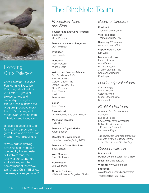

### **Honoring** Chris Peterson

Chris Peterson, BirdNote Founder and Executive Producer, retired in June 2014 after 10 years of tireless service and leadership. During her tenure, Chris launched the program, produced more than 1,200 stories, and raised over \$2 million from individuals and foundations.

BirdNote is grateful to Chris for creating a program that gives birds a voice on public media — with global reach.

"We've built something amazing, and I'm deeply honored by the enthusiasm of BirdNote fans, the loyalty of our supporters and stations, and the commitment of the whole team," says Chris. "BirdNote has many stories yet to tell!"

# The BirdNote Team

*Production Team and Staff*

Founder and Executive Producer **Emeritus** Chris Peterson

Director of National Programs Dominic Black

Producer John Kessler

**Narrators** Mary McCann Michael Stein

Writers and Science Advisors Bob Sundstrom, PhD Ellen Blackstone Gordon Orians, PhD Dennis Paulson, PhD

Chris Peterson Todd Peterson Idie Ulsh Frances Wood

**Editor** Todd Peterson

Theme Music Nancy Rumbel and John Kessler

Managing Director Sallie Bodie

Director of Digital Media Adam Sedgley

Director of Development Kate Godman *(beginning 2015)*

Director of Donor Relations Shelly Ellison

Web Manager Ellen Blackstone

Bookkeeper Lois Woolwine

Graphic Designer Kristine Johnson, Cognition Studio

### *Board of Directors*

President Thomas Luhman, PhD

Vice President Thomas Darden, PhD

Secretary / Treasurer Alan Hartmann, CPA

Deputy Board Chair Kim Wells

Members at Large Lauri J. Adams Anna Fahey

Erin Hennessey J. Drew Lanham, PhD Christopher Rogers Gerrit Vyn

### *Leadership Volunteers*

Chris Altwegg Lynne Jensen Colene McKee Ginger Oppenheimer Karen Zook

### *BirdNote Partners*

American Bird Conservancy Audubon Ducks Unlimited Environment for the Americas National Environmental Education Foundation Partners in Flight

*The sounds for BirdNote stories are provided by the Macaulay Library of the Cornell Lab of Ornithology.*

### *Connect with Us*

Postal mail: PO Box 99456, Seattle, WA 98139 Email: info@birdnote.org Website: www.birdnote.org Facebook: www.facebook.com/birdnoteradio Twitter: @BirdNoteRadio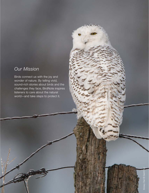### *Our Mission*

Birds connect us with the joy and wonder of nature. By telling vivid, sound-rich stories about birds and the challenges they face, BirdNote inspires listeners to care about the natural world—and take steps to protect it.